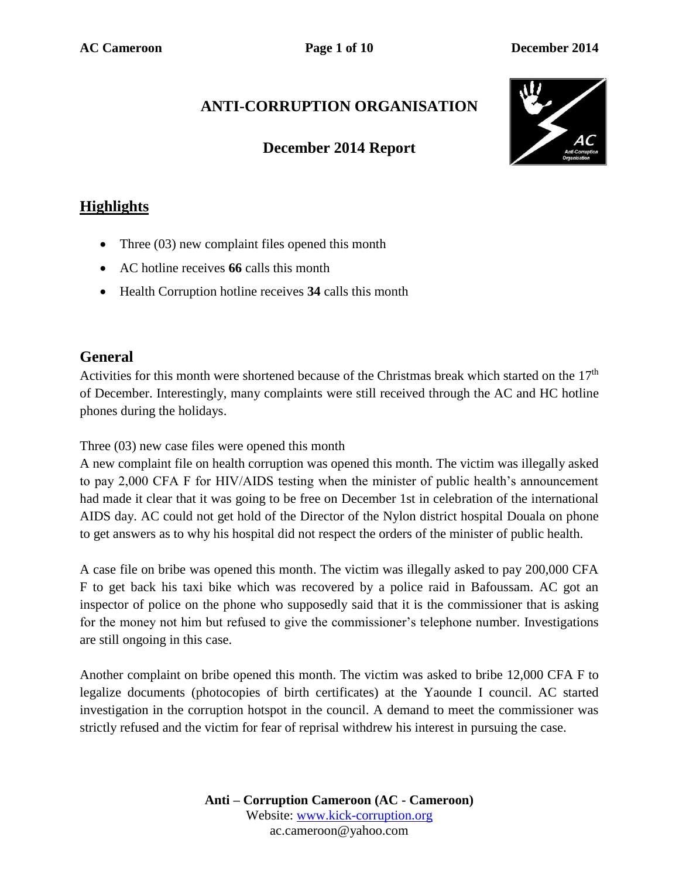# **ANTI-CORRUPTION ORGANISATION**

### **December 2014 Report**



## **Highlights**

- Three (03) new complaint files opened this month
- AC hotline receives **66** calls this month
- Health Corruption hotline receives **34** calls this month

### **General**

Activities for this month were shortened because of the Christmas break which started on the 17<sup>th</sup> of December. Interestingly, many complaints were still received through the AC and HC hotline phones during the holidays.

Three (03) new case files were opened this month

A new complaint file on health corruption was opened this month. The victim was illegally asked to pay 2,000 CFA F for HIV/AIDS testing when the minister of public health's announcement had made it clear that it was going to be free on December 1st in celebration of the international AIDS day. AC could not get hold of the Director of the Nylon district hospital Douala on phone to get answers as to why his hospital did not respect the orders of the minister of public health.

A case file on bribe was opened this month. The victim was illegally asked to pay 200,000 CFA F to get back his taxi bike which was recovered by a police raid in Bafoussam. AC got an inspector of police on the phone who supposedly said that it is the commissioner that is asking for the money not him but refused to give the commissioner's telephone number. Investigations are still ongoing in this case.

Another complaint on bribe opened this month. The victim was asked to bribe 12,000 CFA F to legalize documents (photocopies of birth certificates) at the Yaounde I council. AC started investigation in the corruption hotspot in the council. A demand to meet the commissioner was strictly refused and the victim for fear of reprisal withdrew his interest in pursuing the case.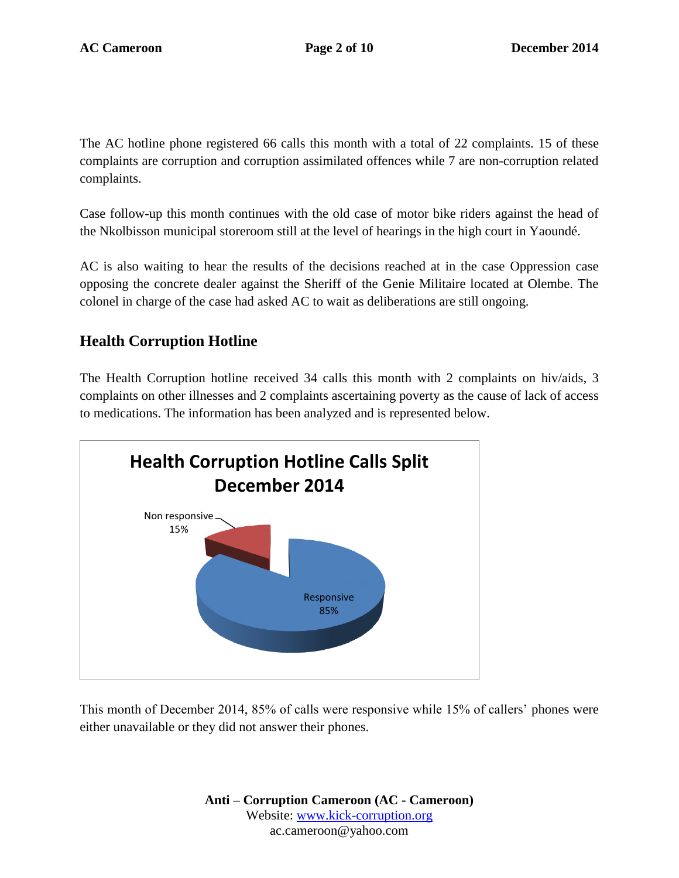The AC hotline phone registered 66 calls this month with a total of 22 complaints. 15 of these complaints are corruption and corruption assimilated offences while 7 are non-corruption related complaints.

Case follow-up this month continues with the old case of motor bike riders against the head of the Nkolbisson municipal storeroom still at the level of hearings in the high court in Yaoundé.

AC is also waiting to hear the results of the decisions reached at in the case Oppression case opposing the concrete dealer against the Sheriff of the Genie Militaire located at Olembe. The colonel in charge of the case had asked AC to wait as deliberations are still ongoing.

## **Health Corruption Hotline**

The Health Corruption hotline received 34 calls this month with 2 complaints on hiv/aids, 3 complaints on other illnesses and 2 complaints ascertaining poverty as the cause of lack of access to medications. The information has been analyzed and is represented below.



This month of December 2014, 85% of calls were responsive while 15% of callers' phones were either unavailable or they did not answer their phones.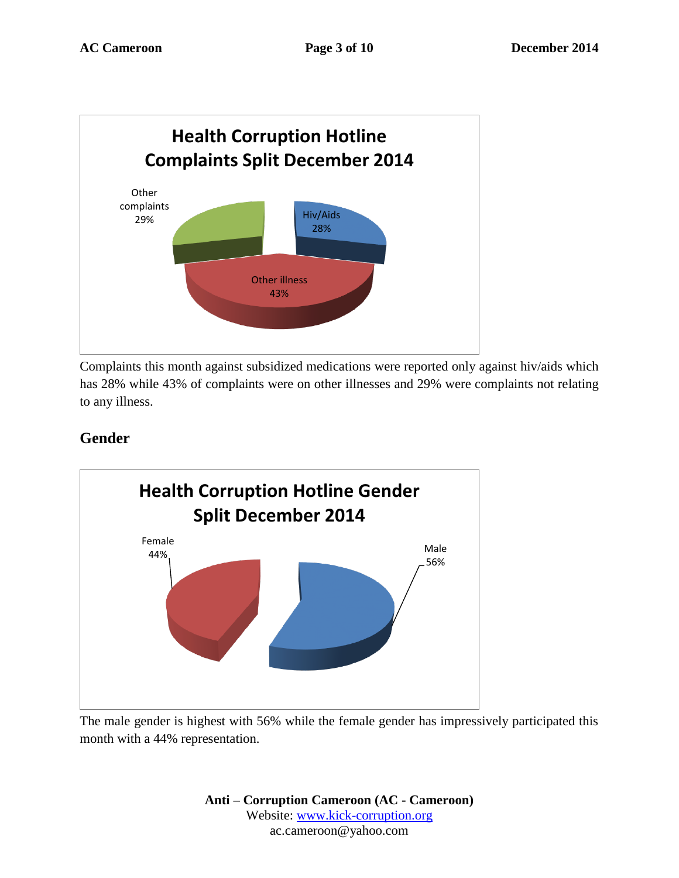

Complaints this month against subsidized medications were reported only against hiv/aids which has 28% while 43% of complaints were on other illnesses and 29% were complaints not relating to any illness.

# **Gender**



The male gender is highest with 56% while the female gender has impressively participated this month with a 44% representation.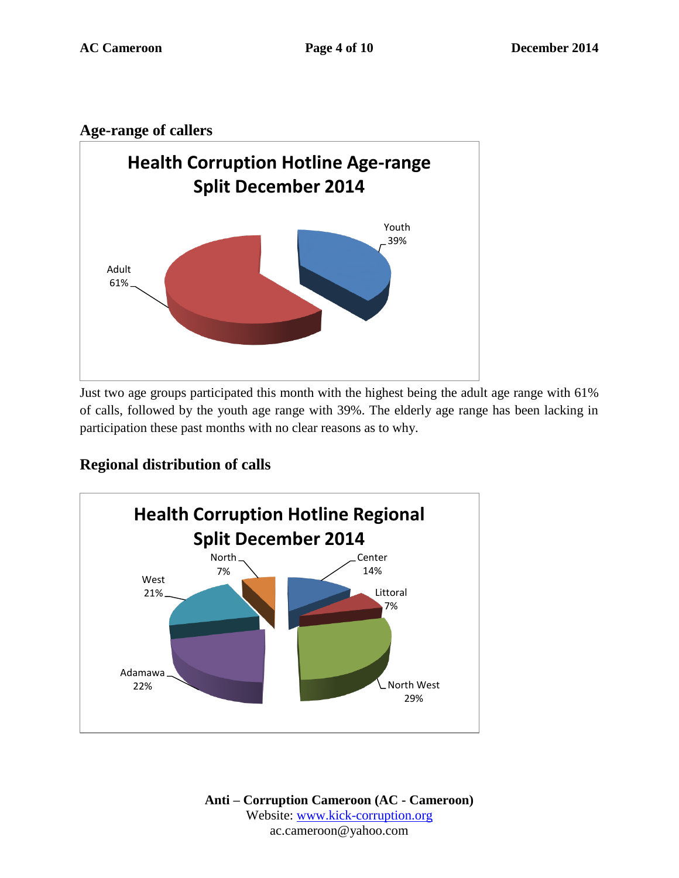### **Age-range of callers**



Just two age groups participated this month with the highest being the adult age range with 61% of calls, followed by the youth age range with 39%. The elderly age range has been lacking in participation these past months with no clear reasons as to why.

## **Regional distribution of calls**

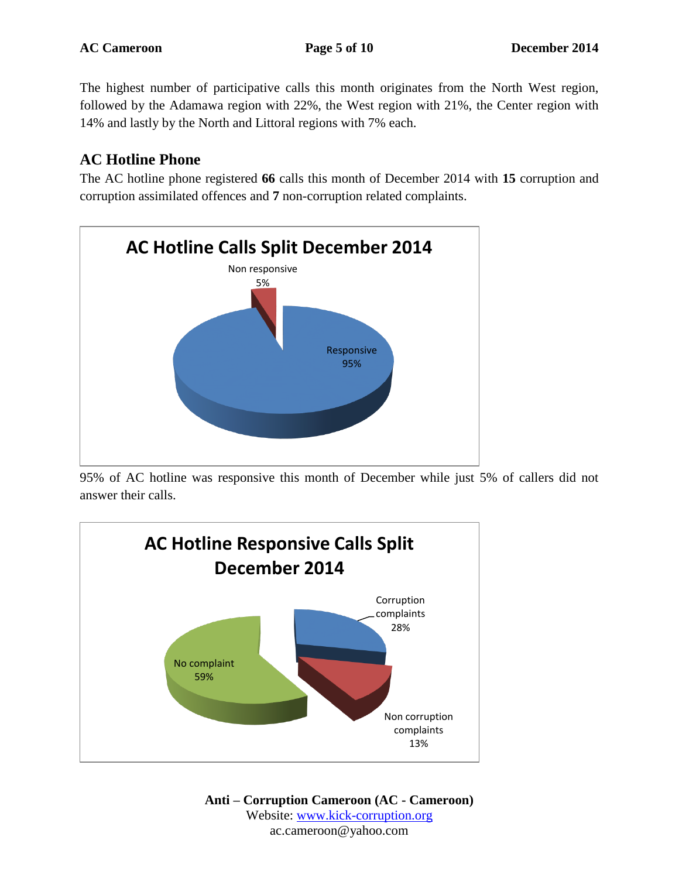The highest number of participative calls this month originates from the North West region, followed by the Adamawa region with 22%, the West region with 21%, the Center region with 14% and lastly by the North and Littoral regions with 7% each.

# **AC Hotline Phone**

The AC hotline phone registered **66** calls this month of December 2014 with **15** corruption and corruption assimilated offences and **7** non-corruption related complaints.



95% of AC hotline was responsive this month of December while just 5% of callers did not answer their calls.

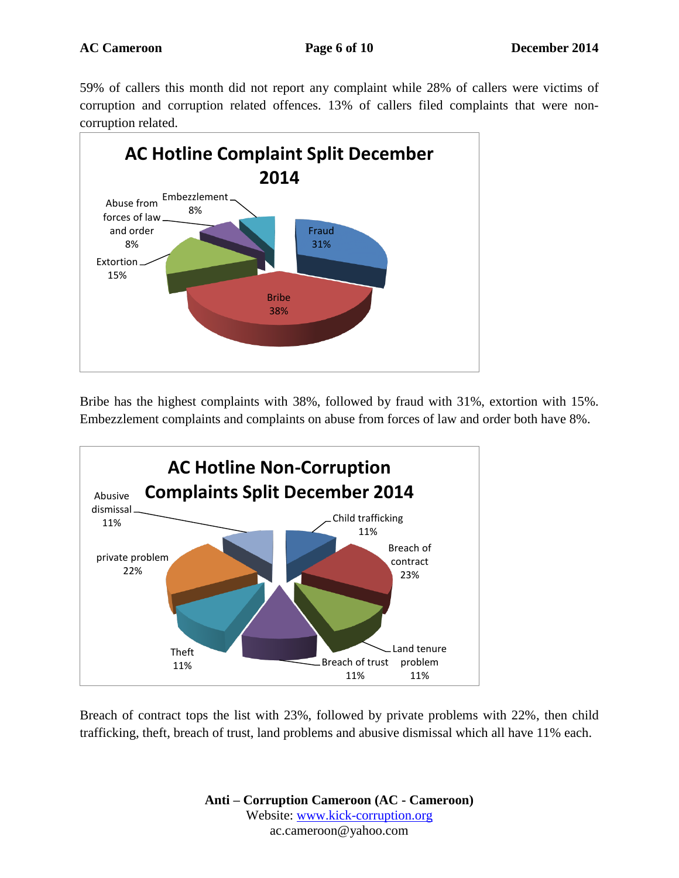59% of callers this month did not report any complaint while 28% of callers were victims of corruption and corruption related offences. 13% of callers filed complaints that were noncorruption related.



Bribe has the highest complaints with 38%, followed by fraud with 31%, extortion with 15%. Embezzlement complaints and complaints on abuse from forces of law and order both have 8%.



Breach of contract tops the list with 23%, followed by private problems with 22%, then child trafficking, theft, breach of trust, land problems and abusive dismissal which all have 11% each.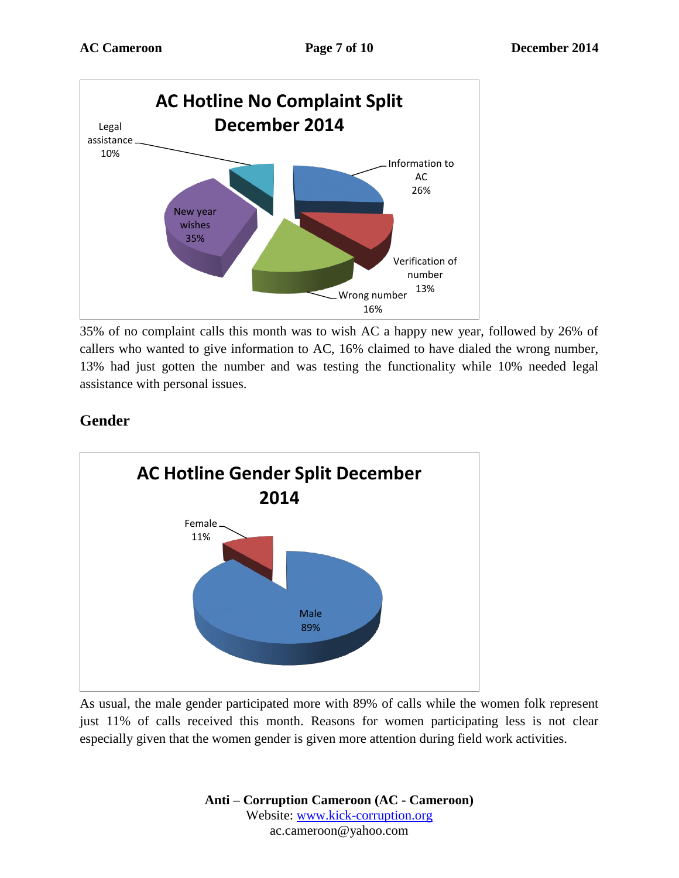

35% of no complaint calls this month was to wish AC a happy new year, followed by 26% of callers who wanted to give information to AC, 16% claimed to have dialed the wrong number, 13% had just gotten the number and was testing the functionality while 10% needed legal assistance with personal issues.

# **Gender**



As usual, the male gender participated more with 89% of calls while the women folk represent just 11% of calls received this month. Reasons for women participating less is not clear especially given that the women gender is given more attention during field work activities.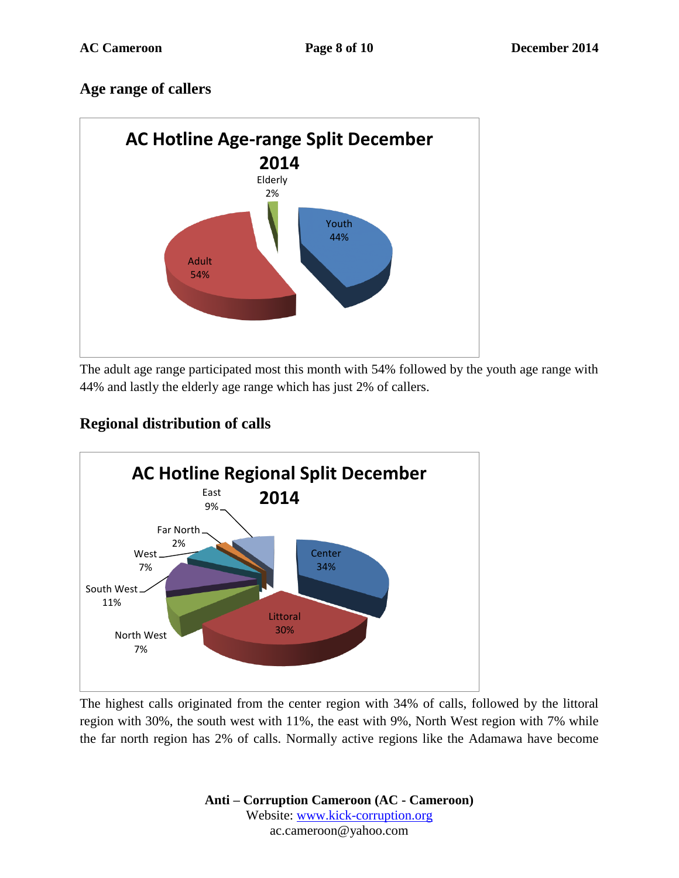## **Age range of callers**



The adult age range participated most this month with 54% followed by the youth age range with 44% and lastly the elderly age range which has just 2% of callers.

# **Regional distribution of calls**



The highest calls originated from the center region with 34% of calls, followed by the littoral region with 30%, the south west with 11%, the east with 9%, North West region with 7% while the far north region has 2% of calls. Normally active regions like the Adamawa have become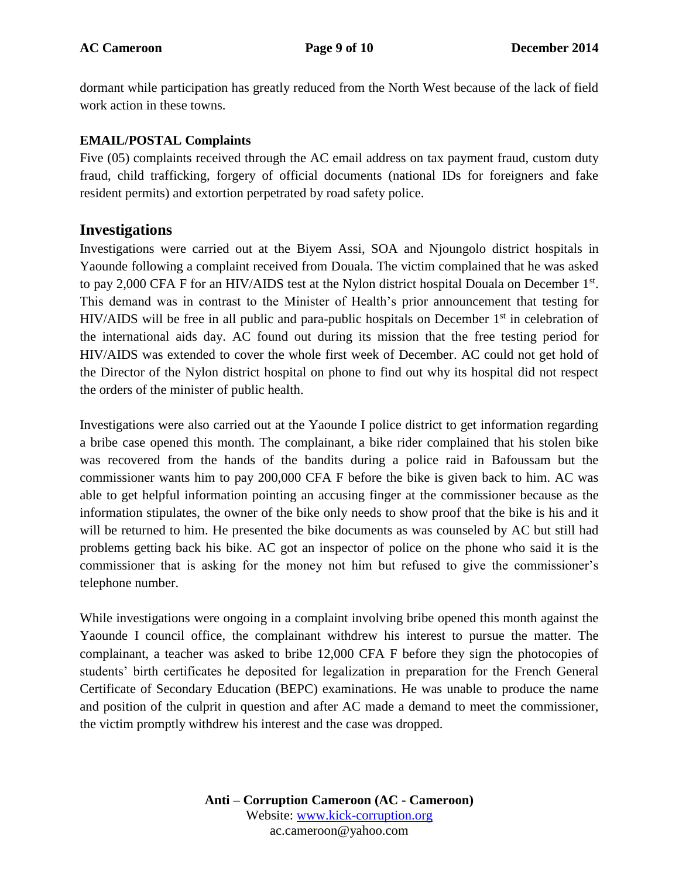dormant while participation has greatly reduced from the North West because of the lack of field work action in these towns.

#### **EMAIL/POSTAL Complaints**

Five (05) complaints received through the AC email address on tax payment fraud, custom duty fraud, child trafficking, forgery of official documents (national IDs for foreigners and fake resident permits) and extortion perpetrated by road safety police.

#### **Investigations**

Investigations were carried out at the Biyem Assi, SOA and Njoungolo district hospitals in Yaounde following a complaint received from Douala. The victim complained that he was asked to pay 2,000 CFA F for an HIV/AIDS test at the Nylon district hospital Douala on December 1<sup>st</sup>. This demand was in contrast to the Minister of Health's prior announcement that testing for HIV/AIDS will be free in all public and para-public hospitals on December  $1<sup>st</sup>$  in celebration of the international aids day. AC found out during its mission that the free testing period for HIV/AIDS was extended to cover the whole first week of December. AC could not get hold of the Director of the Nylon district hospital on phone to find out why its hospital did not respect the orders of the minister of public health.

Investigations were also carried out at the Yaounde I police district to get information regarding a bribe case opened this month. The complainant, a bike rider complained that his stolen bike was recovered from the hands of the bandits during a police raid in Bafoussam but the commissioner wants him to pay 200,000 CFA F before the bike is given back to him. AC was able to get helpful information pointing an accusing finger at the commissioner because as the information stipulates, the owner of the bike only needs to show proof that the bike is his and it will be returned to him. He presented the bike documents as was counseled by AC but still had problems getting back his bike. AC got an inspector of police on the phone who said it is the commissioner that is asking for the money not him but refused to give the commissioner's telephone number.

While investigations were ongoing in a complaint involving bribe opened this month against the Yaounde I council office, the complainant withdrew his interest to pursue the matter. The complainant, a teacher was asked to bribe 12,000 CFA F before they sign the photocopies of students' birth certificates he deposited for legalization in preparation for the French General Certificate of Secondary Education (BEPC) examinations. He was unable to produce the name and position of the culprit in question and after AC made a demand to meet the commissioner, the victim promptly withdrew his interest and the case was dropped.